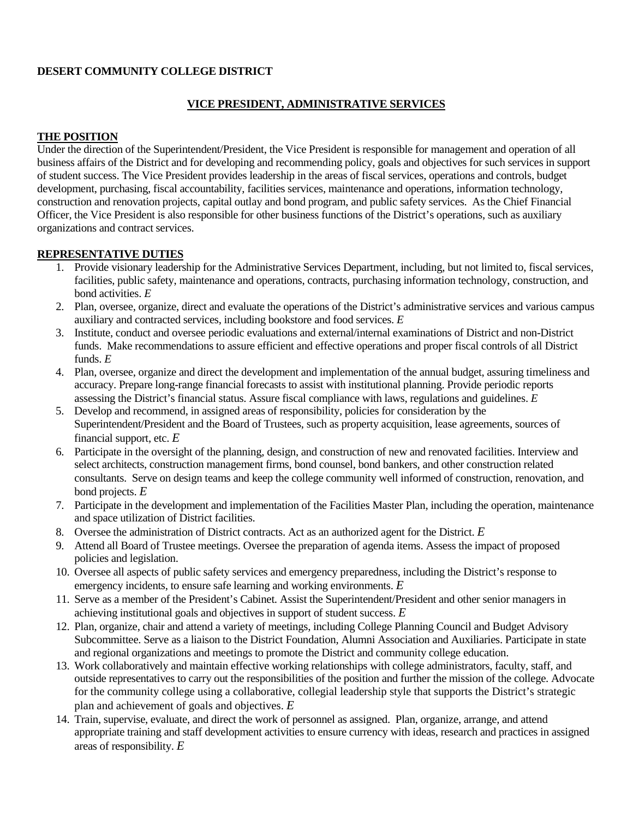# **DESERT COMMUNITY COLLEGE DISTRICT**

### **VICE PRESIDENT, ADMINISTRATIVE SERVICES**

### **THE POSITION**

Under the direction of the Superintendent/President, the Vice President is responsible for management and operation of all business affairs of the District and for developing and recommending policy, goals and objectives for such services in support of student success. The Vice President provides leadership in the areas of fiscal services, operations and controls, budget development, purchasing, fiscal accountability, facilities services, maintenance and operations, information technology, construction and renovation projects, capital outlay and bond program, and public safety services. As the Chief Financial Officer, the Vice President is also responsible for other business functions of the District's operations, such as auxiliary organizations and contract services.

### **REPRESENTATIVE DUTIES**

- 1. Provide visionary leadership for the Administrative Services Department, including, but not limited to, fiscal services, facilities, public safety, maintenance and operations, contracts, purchasing information technology, construction, and bond activities. *E*
- 2. Plan, oversee, organize, direct and evaluate the operations of the District's administrative services and various campus auxiliary and contracted services, including bookstore and food services. *E*
- 3. Institute, conduct and oversee periodic evaluations and external/internal examinations of District and non-District funds. Make recommendations to assure efficient and effective operations and proper fiscal controls of all District funds. *E*
- 4. Plan, oversee, organize and direct the development and implementation of the annual budget, assuring timeliness and accuracy. Prepare long-range financial forecasts to assist with institutional planning. Provide periodic reports assessing the District's financial status. Assure fiscal compliance with laws, regulations and guidelines. *E*
- 5. Develop and recommend, in assigned areas of responsibility, policies for consideration by the Superintendent/President and the Board of Trustees, such as property acquisition, lease agreements, sources of financial support, etc. *E*
- 6. Participate in the oversight of the planning, design, and construction of new and renovated facilities. Interview and select architects, construction management firms, bond counsel, bond bankers, and other construction related consultants. Serve on design teams and keep the college community well informed of construction, renovation, and bond projects. *E*
- 7. Participate in the development and implementation of the Facilities Master Plan, including the operation, maintenance and space utilization of District facilities.
- 8. Oversee the administration of District contracts. Act as an authorized agent for the District. *E*
- 9. Attend all Board of Trustee meetings. Oversee the preparation of agenda items. Assess the impact of proposed policies and legislation.
- 10. Oversee all aspects of public safety services and emergency preparedness, including the District's response to emergency incidents, to ensure safe learning and working environments. *E*
- 11. Serve as a member of the President's Cabinet. Assist the Superintendent/President and other senior managers in achieving institutional goals and objectives in support of student success. *E*
- 12. Plan, organize, chair and attend a variety of meetings, including College Planning Council and Budget Advisory Subcommittee. Serve as a liaison to the District Foundation, Alumni Association and Auxiliaries. Participate in state and regional organizations and meetings to promote the District and community college education.
- 13. Work collaboratively and maintain effective working relationships with college administrators, faculty, staff, and outside representatives to carry out the responsibilities of the position and further the mission of the college. Advocate for the community college using a collaborative, collegial leadership style that supports the District's strategic plan and achievement of goals and objectives. *E*
- 14. Train, supervise, evaluate, and direct the work of personnel as assigned. Plan, organize, arrange, and attend appropriate training and staff development activities to ensure currency with ideas, research and practices in assigned areas of responsibility. *E*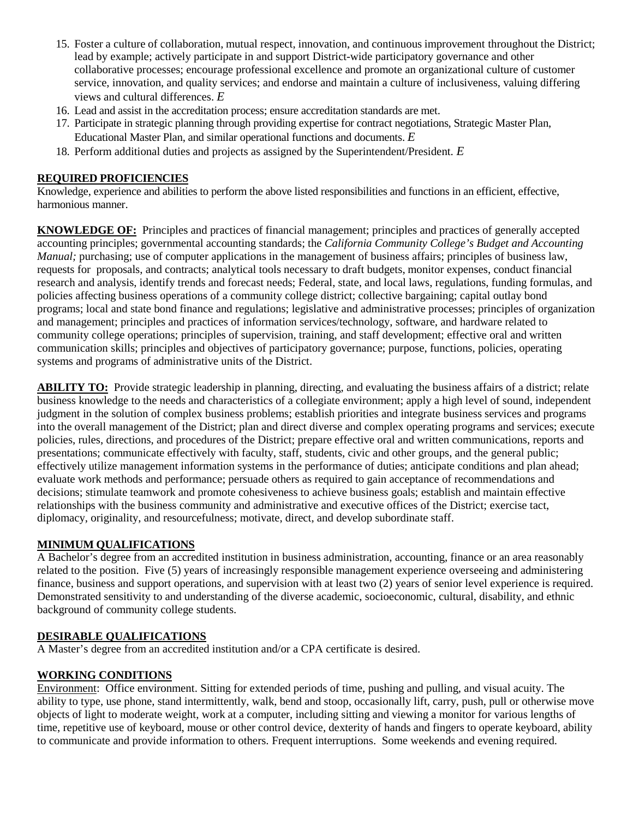- 15. Foster a culture of collaboration, mutual respect, innovation, and continuous improvement throughout the District; lead by example; actively participate in and support District-wide participatory governance and other collaborative processes; encourage professional excellence and promote an organizational culture of customer service, innovation, and quality services; and endorse and maintain a culture of inclusiveness, valuing differing views and cultural differences. *E*
- 16. Lead and assist in the accreditation process; ensure accreditation standards are met.
- 17. Participate in strategic planning through providing expertise for contract negotiations, Strategic Master Plan, Educational Master Plan, and similar operational functions and documents. *E*
- 18. Perform additional duties and projects as assigned by the Superintendent/President. *E*

# **REQUIRED PROFICIENCIES**

Knowledge, experience and abilities to perform the above listed responsibilities and functions in an efficient, effective, harmonious manner.

**KNOWLEDGE OF:** Principles and practices of financial management; principles and practices of generally accepted accounting principles; governmental accounting standards; the *California Community College's Budget and Accounting Manual*; purchasing; use of computer applications in the management of business affairs; principles of business law, requests for proposals, and contracts; analytical tools necessary to draft budgets, monitor expenses, conduct financial research and analysis, identify trends and forecast needs; Federal, state, and local laws, regulations, funding formulas, and policies affecting business operations of a community college district; collective bargaining; capital outlay bond programs; local and state bond finance and regulations; legislative and administrative processes; principles of organization and management; principles and practices of information services/technology, software, and hardware related to community college operations; principles of supervision, training, and staff development; effective oral and written communication skills; principles and objectives of participatory governance; purpose, functions, policies, operating systems and programs of administrative units of the District.

**ABILITY TO:** Provide strategic leadership in planning, directing, and evaluating the business affairs of a district; relate business knowledge to the needs and characteristics of a collegiate environment; apply a high level of sound, independent judgment in the solution of complex business problems; establish priorities and integrate business services and programs into the overall management of the District; plan and direct diverse and complex operating programs and services; execute policies, rules, directions, and procedures of the District; prepare effective oral and written communications, reports and presentations; communicate effectively with faculty, staff, students, civic and other groups, and the general public; effectively utilize management information systems in the performance of duties; anticipate conditions and plan ahead; evaluate work methods and performance; persuade others as required to gain acceptance of recommendations and decisions; stimulate teamwork and promote cohesiveness to achieve business goals; establish and maintain effective relationships with the business community and administrative and executive offices of the District; exercise tact, diplomacy, originality, and resourcefulness; motivate, direct, and develop subordinate staff.

### **MINIMUM QUALIFICATIONS**

A Bachelor's degree from an accredited institution in business administration, accounting, finance or an area reasonably related to the position. Five (5) years of increasingly responsible management experience overseeing and administering finance, business and support operations, and supervision with at least two (2) years of senior level experience is required. Demonstrated sensitivity to and understanding of the diverse academic, socioeconomic, cultural, disability, and ethnic background of community college students.

### **DESIRABLE QUALIFICATIONS**

A Master's degree from an accredited institution and/or a CPA certificate is desired.

### **WORKING CONDITIONS**

Environment: Office environment. Sitting for extended periods of time, pushing and pulling, and visual acuity. The ability to type, use phone, stand intermittently, walk, bend and stoop, occasionally lift, carry, push, pull or otherwise move objects of light to moderate weight, work at a computer, including sitting and viewing a monitor for various lengths of time, repetitive use of keyboard, mouse or other control device, dexterity of hands and fingers to operate keyboard, ability to communicate and provide information to others. Frequent interruptions. Some weekends and evening required.